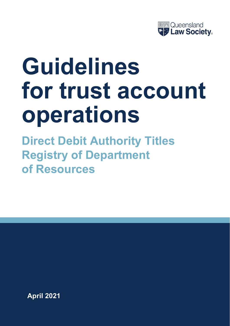

# **Guidelines for trust account operations**

**Direct Debit Authority Titles Registry of Department of Resources**

**April 2021**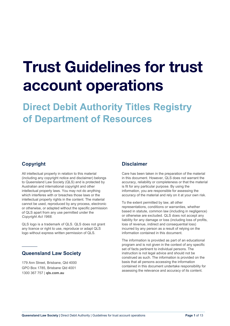# Trust Guidelines for trust account operations

**Direct Debit Authority Titles Registry of Department of Resources**

## **Copyright**

 $\overline{\phantom{a}}$ 

All intellectual property in relation to this material (including any copyright notice and disclaimer) belongs to Queensland Law Society (QLS) and is protected by Australian and international copyright and other intellectual property laws. You may not do anything which interferes with or breaches those laws or the intellectual property rights in the content. The material cannot be used, reproduced by any process, electronic or otherwise, or adapted without the specific permission of QLS apart from any use permitted under the *Copyright Act 1968*.

QLS logo is a trademark of QLS. QLS does not grant any licence or right to use, reproduce or adapt QLS logo without express written permission of QLS.

### **Queensland Law Society**

179 Ann Street, Brisbane, Qld 4000 GPO Box 1785, Brisbane Qld 4001 1300 367 757 | **[qls.com.au](http://qls.com.au/)**

### **Disclaimer**

Care has been taken in the preparation of the material in this document. However, QLS does not warrant the accuracy, reliability or completeness or that the material is fit for any particular purpose. By using the information, you are responsible for assessing the accuracy of the material and rely on it at your own risk.

To the extent permitted by law, all other representations, conditions or warranties, whether based in statute, common law (including in negligence) or otherwise are excluded. QLS does not accept any liability for any damage or loss (including loss of profits, loss of revenue, indirect and consequential loss) incurred by any person as a result of relying on the information contained in this document.

The information is provided as part of an educational program and is not given in the context of any specific set of facts pertinent to individual persons. The instruction is not legal advice and should not be construed as such. The information is provided on the basis that all persons accessing the information contained in this document undertake responsibility for assessing the relevance and accuracy of its content.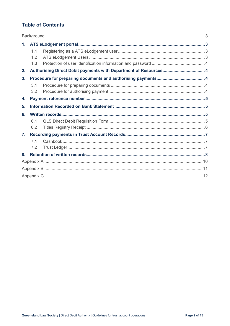# **Table of Contents**

| 1 <sub>1</sub> |                |                                                                  |  |  |  |
|----------------|----------------|------------------------------------------------------------------|--|--|--|
|                | 1.1            |                                                                  |  |  |  |
|                | 1.2            |                                                                  |  |  |  |
|                | 1.3            |                                                                  |  |  |  |
| 2.             |                | Authorising Direct Debit payments with Department of Resources 4 |  |  |  |
| 3.             |                |                                                                  |  |  |  |
|                | 3.1            |                                                                  |  |  |  |
|                | 3.2            |                                                                  |  |  |  |
| 4.             |                |                                                                  |  |  |  |
| 5.             |                |                                                                  |  |  |  |
| 6.             |                |                                                                  |  |  |  |
|                | 61             |                                                                  |  |  |  |
|                | 6.2            |                                                                  |  |  |  |
| $\mathbf{7}$ . |                |                                                                  |  |  |  |
|                | 7 <sub>1</sub> |                                                                  |  |  |  |
|                | 7.2            |                                                                  |  |  |  |
| 8.             |                |                                                                  |  |  |  |
|                |                |                                                                  |  |  |  |
|                |                |                                                                  |  |  |  |
|                |                |                                                                  |  |  |  |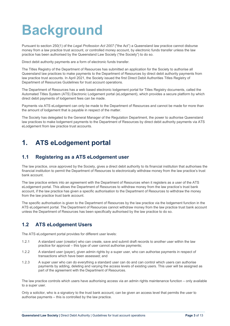# <span id="page-3-0"></span>**Background**

Pursuant to section 250(1) of the *Legal Profession Act 2007* ("the Act") a Queensland law practice cannot disburse money from a law practice trust account, or controlled money account, by electronic funds transfer unless the law practice has been authorised by the Queensland Law Society ("the Society") to do so.

Direct debit authority payments are a form of electronic funds transfer.

The Titles Registry of the Department of Resources has submitted an application for the Society to authorise all Queensland law practices to make payments to the Department of Resources by direct debit authority payments from law practice trust accounts. In April 2021, the Society issued the first Direct Debit Authorities Titles Registry of Department of Resources Guidelines for trust account operations.

The Department of Resources has a web based electronic lodgement portal for Titles Registry documents, called the Automated Titles System (ATS) Electronic Lodgement portal (eLodgement), which provides a secure platform by which direct debit payments of lodgement fees can be made.

Payments via ATS eLodgement can only be made to the Department of Resources and cannot be made for more than the amount of lodgement that is payable in respect of the matter.

The Society has delegated to the General Manager of the Regulation Department, the power to authorise Queensland law practices to make lodgement payments to the Department of Resources by direct debit authority payments via ATS eLodgement from law practice trust accounts.

# <span id="page-3-1"></span>**1. ATS eLodgement portal**

#### <span id="page-3-2"></span>**1.1 Registering as a ATS eLodgement user**

The law practice, once approved by the Society, gives a direct debit authority to its financial institution that authorises the financial institution to permit the Department of Resources to electronically withdraw money from the law practice's trust bank account.

The law practice enters into an agreement with the Department of Resources when it registers as a user of the ATS eLodgement portal. This allows the Department of Resources to withdraw money from the law practice's trust bank account, if the law practice has given a specific authorisation to the Department of Resources to withdraw the money from the law practice trust bank account.

The specific authorisation is given to the Department of Resources by the law practice via the lodgement function in the ATS eLodgement portal. The Department of Resources cannot withdraw money from the law practice trust bank account unless the Department of Resources has been specifically authorised by the law practice to do so.

### <span id="page-3-3"></span>**1.2 ATS eLodgement Users**

The ATS eLodgement portal provides for different user levels:

- 1.2.1 A standard user (creator) who can create, save and submit draft records to another user within the law practice for approval – this type of user cannot authorise payments;
- 1.2.2 A standard user (payer), given admin rights by a super user, who can authorise payments in respect of transactions which have been assessed; and
- 1.2.3 A super user who can do everything a standard user can do and can control which users can authorise payments by adding, deleting and varying the access levels of existing users. This user will be assigned as part of the agreement with the Department of Resources.

The law practice controls which users have authorising access via an admin rights maintenance function – only available to a super user.

Only a solicitor, who is a signatory to the trust bank account, can be given an access level that permits the user to authorise payments – this is controlled by the law practice.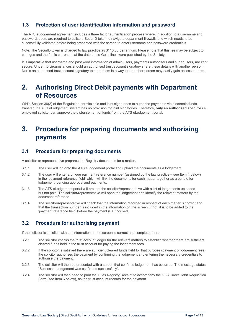### <span id="page-4-0"></span>**1.3 Protection of user identification information and password**

The ATS eLodgement agreement includes a three factor authentication process where, in addition to a username and password, users are required to utilise a SecurID token to navigate department firewalls and which needs to be successfully validated before being presented with the screen to enter username and password credentials.

Note: The SecurID token is charged to law practice as \$110.00 per annum. Please note that this fee may be subject to changes and the fee is current as at the date these Guidelines were published by the Society.

It is imperative that username and password information of admin users, payments authorisers and super users, are kept secure. Under no circumstances should an authorised trust account signatory share these details with another person. Nor is an authorised trust account signatory to store them in a way that another person may easily gain access to them.

# <span id="page-4-1"></span>**2. Authorising Direct Debit payments with Department of Resources**

While Section 38(2) of the Regulation permits sole and joint signatories to authorise payments via electronic funds transfer, the ATS eLodgement system has no provision for joint signatories. Therefore, **only an authorised solicitor** i.e. employed solicitor can approve the disbursement of funds from the ATS eLodgement portal.

# <span id="page-4-2"></span>**3. Procedure for preparing documents and authorising payments**

#### <span id="page-4-3"></span>**3.1 Procedure for preparing documents**

A solicitor or representative prepares the Registry documents for a matter.

- 3.1.1 The user will log onto the ATS eLodgement portal and upload the documents as a lodgement
- 3.1.2 The user will enter a unique payment reference number (assigned by the law practice see Item 4 below) in the 'payment reference field' which will link the documents for each matter together as a bundle for lodgement, pending approval and payments.
- 3.1.3 The ATS eLodgement portal will present the solicitor/representative with a list of lodgements uploaded but not paid. The solicitor/representative will open the lodgement and identify the relevant matters by the document reference.
- 3.1.4 The solicitor/representative will check that the information recorded in respect of each matter is correct and that the transaction number is included in the information on the screen. If not, it is to be added to the 'payment reference field' before the payment is authorised.

### <span id="page-4-4"></span>**3.2 Procedure for authorising payment**

If the solicitor is satisfied with the information on the screen is correct and complete, then:

- 3.2.1 The solicitor checks the trust account ledger for the relevant matters to establish whether there are sufficient cleared funds held in the trust account for paying the lodgement fees.
- 3.2.2 If the solicitor is satisfied there are sufficient cleared funds held for that purpose (payment of lodgement fees), the solicitor authorises the payment by confirming the lodgement and entering the necessary credentials to authorise the payment.
- 3.2.3 The solicitor will then be presented with a screen that confirms lodgement has occurred. The message states "Success – Lodgement was confirmed successfully".
- 3.2.4 The solicitor will then need to print the Titles Registry Receipt to accompany the QLS Direct Debit Requisition Form (see Item 6 below), as the trust account records for the payment.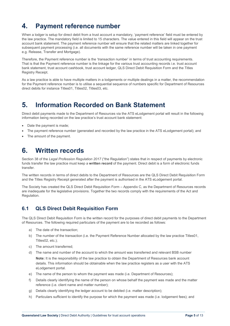# <span id="page-5-0"></span>**4. Payment reference number**

When a lodger is setup for direct debit from a trust account a mandatory, 'payment reference' field must be entered by the law practice. The mandatory field is limited to 15 characters. The value entered in this field will appear on the trust account bank statement. The payment reference number will ensure that the related matters are linked together for subsequent payment processing (i.e. all documents with the same reference number will be taken in one payment e.g. Release, Transfer and Mortgage).

Therefore, the Payment reference number is the 'transaction number' in terms of trust accounting requirements. That is that the Payment reference number is the linkage for the various trust accounting records i.e. trust account bank statement, trust account cashbook, trust account ledger, QLS Direct Debit Requisition Form and the Titles Registry Receipt.

As a law practice is able to have multiple matters in a lodgements or multiple dealings in a matter, the recommendation for the Payment reference number is to utilise a sequential sequence of numbers specific for Department of Resources direct debits for instance Titles01, Titles02, Titles03, etc.

# <span id="page-5-1"></span>**5. Information Recorded on Bank Statement**

Direct debit payments made to the Department of Resources via the ATS eLodgement portal will result in the following information being recorded on the law practice's trust account bank statement:

- Date the payment is made;
- The payment reference number (generated and recorded by the law practice in the ATS eLodgement portal); and
- <span id="page-5-2"></span>The amount of the payment.

# **6. Written records**

Section 38 of the *Legal Profession Regulation 2017* ("the Regulation") states that in respect of payments by electronic funds transfer the law practice must keep a **written record** of the payment. Direct debit is a form of electronic funds transfer.

The written records in terms of direct debits to the Department of Resources are the QLS Direct Debit Requisition Form and the Titles Registry Receipt generated after the payment is authorised in the ATS eLodgement portal.

The Society has created the QLS Direct Debit Requisition Form – Appendix C, as the Department of Resources records are inadequate for the legislative provisions. Together the two records comply with the requirements of the Act and Regulation.

# <span id="page-5-3"></span>**6.1 QLS Direct Debit Requisition Form**

The QLS Direct Debit Requisition Form is the written record for the purposes of direct debit payments to the Department of Resources. The following required particulars of the payment are to be recorded as follows:

- a) The date of the transaction;
- b) The number of the transaction (i.e. the Payment Reference Number allocated by the law practice Titles01, Titles02, etc.);
- c) The amount transferred;
- d) The name and number of the account to which the amount was transferred and relevant BSB number **Note:** It is the responsibility of the law practice to obtain the Department of Resources bank account details. This information should be obtainable when the law practice registers as a user with the ATS eLodgement portal.
- e) The name of the person to whom the payment was made (i.e. Department of Resources);
- f) Details clearly identifying the name of the person on whose behalf the payment was made and the matter reference (i.e. client name and matter number);
- g) Details clearly identifying the ledger account to be debited (i.e. matter description);
- h) Particulars sufficient to identify the purpose for which the payment was made (i.e. lodgement fees); and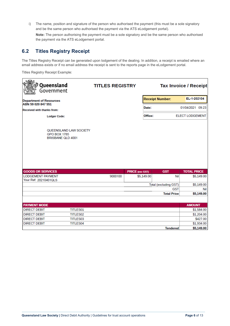i) The name, position and signature of the person who authorised the payment (this must be a sole signatory and be the same person who authorised the payment via the ATS eLodgement portal).

**Note:** The person authorising the payment must be a sole signatory and be the same person who authorised the payment via the ATS eLodgement portal.

#### <span id="page-6-0"></span>**6.2 Titles Registry Receipt**

The Titles Registry Receipt can be generated upon lodgement of the dealing. In addition, a receipt is emailed where an email address exists or if no email address the receipt is sent to the reports page in the eLodgement portal.

Titles Registry Receipt Example:

| Queensland<br>Government                                           | <b>TITLES REGISTRY</b> |                        |                                  | <b>Tax Invoice / Receipt</b> |
|--------------------------------------------------------------------|------------------------|------------------------|----------------------------------|------------------------------|
| <b>Department of Resources</b>                                     |                        |                        | <b>Receipt Number:</b>           | EL-1-202104                  |
| ABN 59 020 847 551                                                 |                        | Date:                  |                                  | 01/04/2021 09:23             |
| <b>Received with thanks from:</b>                                  |                        |                        |                                  |                              |
| <b>Lodger Code:</b>                                                |                        | Office:                |                                  | <b>ELECT LODGEMENT</b>       |
| QUEENSLAND LAW SOCIETY<br><b>GPO BOX 1785</b><br>BRISBANE QLD 4001 |                        |                        |                                  |                              |
| <b>GOODS OR SERVICES</b>                                           |                        | <b>PRICE</b> (exc GST) | <b>GST</b>                       | <b>TOTAL PRICE</b>           |
| <b>LODGEMENT PAYMENT</b>                                           | 9000100                | \$5,149.00             | Nil                              | \$5,149.00                   |
| Your Ref: 20210401QLS                                              |                        |                        |                                  |                              |
|                                                                    |                        |                        | Total (excluding GST)            | \$5,149.00                   |
|                                                                    |                        |                        | <b>GST</b><br><b>Total Price</b> | <b>Nil</b><br>\$5,149.00     |
|                                                                    |                        |                        |                                  |                              |
| <b>PAYMENT MODE</b>                                                |                        |                        |                                  | <b>AMOUNT</b>                |
| <b>DIRECT DEBIT</b><br><b>TITLES01</b>                             |                        |                        |                                  | \$1,584.00                   |
| <b>DIRECT DEBIT</b><br>TITLES02                                    |                        |                        |                                  | \$1,204.00                   |
| <b>DIRECT DEBIT</b><br>TITLES03                                    |                        |                        |                                  | \$427.00                     |
| <b>DIRECT DEBIT</b><br><b>TITLES04</b>                             |                        |                        |                                  | \$1,934.00                   |
|                                                                    |                        |                        | <b>Tendered</b>                  | \$5,149.00                   |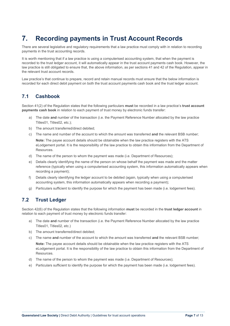# <span id="page-7-0"></span>**7. Recording payments in Trust Account Records**

There are several legislative and regulatory requirements that a law practice must comply with in relation to recording payments in the trust accounting records.

It is worth mentioning that if a law practice is using a computerised accounting system, that when the payment is recorded to the trust ledger account, it will automatically appear in the trust account payments cash book. However, the law practice is still obligated to ensure that, the above information, as per sections 41 and 42 of the Regulation, appear in the relevant trust account records.

Law practice's that continue to prepare, record and retain manual records must ensure that the below information is recorded for each direct debit payment on both the trust account payments cash book and the trust ledger account.

#### <span id="page-7-1"></span>**7.1 Cashbook**

Section 41(2) of the Regulation states that the following particulars **must** be recorded in a law practice's **trust account payments cash book** in relation to each payment of trust money by electronic funds transfer:

- a) The date **and** number of the transaction (i.e. the Payment Reference Number allocated by the law practice Titles01, Titles02, etc.);
- b) The amount transferred/direct debited;
- c) The name and number of the account to which the amount was transferred **and** the relevant BSB number; **Note:** The payee account details should be obtainable when the law practice registers with the ATS eLodgement portal. It is the responsibility of the law practice to obtain this information from the Department of Resources.
- d) The name of the person to whom the payment was made (i.e. Department of Resources);
- e) Details clearly identifying the name of the person on whose behalf the payment was made and the matter reference (typically when using a computerised accounting system, this information automatically appears when recording a payment);
- f) Details clearly identifying the ledger account to be debited (again, typically when using a computerised accounting system, this information automatically appears when recording a payment);
- g) Particulars sufficient to identify the purpose for which the payment has been made (i.e. lodgement fees).

### <span id="page-7-2"></span>**7.2 Trust Ledger**

Section 42(6) of the Regulation states that the following information **must** be recorded in the **trust ledger account** in relation to each payment of trust money by electronic funds transfer:

- a) The date **and** number of the transaction (i.e. the Payment Reference Number allocated by the law practice Titles01, Titles02, etc.)
- b) The amount transferred/direct debited;
- c) The name **and** number of the account to which the amount was transferred **and** the relevant BSB number;

**Note:** The payee account details should be obtainable when the law practice registers with the ATS eLodgement portal. It is the responsibility of the law practice to obtain this information from the Department of Resources.

- d) The name of the person to whom the payment was made (i.e. Department of Resources);
- <span id="page-7-3"></span>e) Particulars sufficient to identify the purpose for which the payment has been made (i.e. lodgement fees).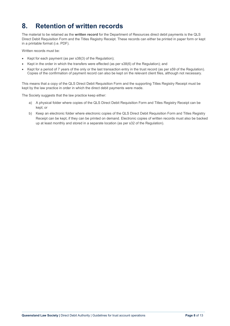# **8. Retention of written records**

The material to be retained as the **written record** for the Department of Resources direct debit payments is the QLS Direct Debit Requisition Form and the Titles Registry Receipt. These records can either be printed in paper form or kept in a printable format (i.e. PDF).

Written records must be:

- Kept for each payment (as per s38(3) of the Regulation);
- Kept in the order in which the transfers were effected (as per s38(6) of the Regulation); and
- Kept for a period of 7 years of the only or the last transaction entry in the trust record (as per s59 of the Regulation). Copies of the confirmation of payment record can also be kept on the relevant client files, although not necessary.

This means that a copy of the QLS Direct Debit Requisition Form and the supporting Titles Registry Receipt must be kept by the law practice in order in which the direct debit payments were made.

The Society suggests that the law practice keep either:

- a) A physical folder where copies of the QLS Direct Debit Requisition Form and Titles Registry Receipt can be kept; or
- b) Keep an electronic folder where electronic copies of the QLS Direct Debit Requisition Form and Titles Registry Receipt can be kept, if they can be printed on demand. Electronic copies of written records must also be backed up at least monthly and stored in a separate location (as per s32 of the Regulation).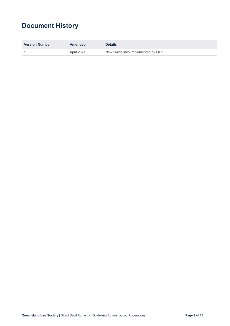# **Document History**

| <b>Version Number</b> | Amended    | <b>Details</b>                    |
|-----------------------|------------|-----------------------------------|
|                       | April 2021 | New Guidelines implemented by QLS |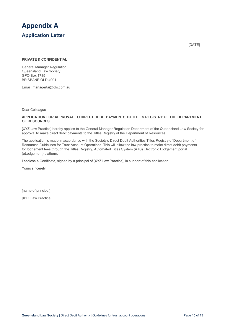<span id="page-10-0"></span>

[DATE]

#### **PRIVATE & CONFIDENTIAL**

General Manager Regulation Queensland Law Society GPO Box 1785 BRISBANE QLD 4001

Email: [managertai@qls.com.au](mailto:managertai@qls.com.au)

Dear Colleague

#### **APPLICATION FOR APPROVAL TO DIRECT DEBIT PAYMENTS TO TITLES REGISTRY OF THE DEPARTMENT OF RESOURCES**

[XYZ Law Practice] hereby applies to the General Manager Regulation Department of the Queensland Law Society for approval to make direct debit payments to the Titles Registry of the Department of Resources

The application is made in accordance with the Society's Direct Debit Authorities Titles Registry of Department of Resources Guidelines for Trust Account Operations. This will allow the law practice to make direct debit payments for lodgement fees through the Titles Registry, Automated Titles System (ATS) Electronic Lodgement portal (eLodgement) platform.

I enclose a Certificate, signed by a principal of [XYZ Law Practice], in support of this application.

Yours sincerely

[name of principal]

[XYZ Law Practice]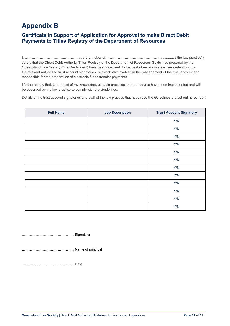# <span id="page-11-0"></span>**Appendix B**

#### **Certificate in Support of Application for Approval to make Direct Debit Payments to Titles Registry of the Department of Resources**

I, …………………………….…………..., the principal of ………………………………………..............., ("the law practice"), certify that the Direct Debit Authority Titles Registry of the Department of Resources Guidelines prepared by the Queensland Law Society ("the Guidelines") have been read and, to the best of my knowledge, are understood by the relevant authorised trust account signatories, relevant staff involved in the management of the trust account and responsible for the preparation of electronic funds transfer payments.

I further certify that, to the best of my knowledge, suitable practices and procedures have been implemented and will be observed by the law practice to comply with the Guidelines.

Details of the trust account signatories and staff of the law practice that have read the Guidelines are set out hereunder:

| <b>Full Name</b> | <b>Job Description</b> | <b>Trust Account Signatory</b> |
|------------------|------------------------|--------------------------------|
|                  |                        | Y/N                            |
|                  |                        | Y/N                            |
|                  |                        | Y/N                            |
|                  |                        | Y/N                            |
|                  |                        | Y/N                            |
|                  |                        | Y/N                            |
|                  |                        | Y/N                            |
|                  |                        | Y/N                            |
|                  |                        | Y/N                            |
|                  |                        | Y/N                            |
|                  |                        | Y/N                            |
|                  |                        | Y/N                            |

……………………………………… Signature

……………………………………… Name of principal

……………………………………… Date